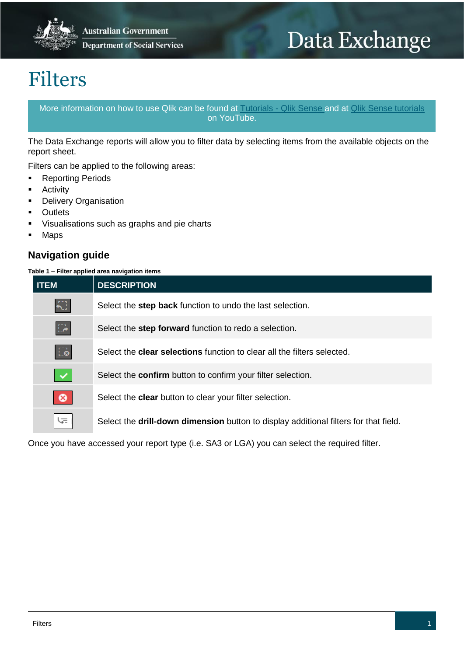

# Data Exchange

## Filters

More information on how to use Qlik can be found at [Tutorials -](https://help.qlik.com/en-US/sense/2.2/Content/Tutorials.htm) Qlik Sense and at [Qlik Sense tutorials](http://www.bing.com/videos/search?q=qlik+sense+tutorials+youtube&qpvt=qlik+sense+tutorials+youtube&FORM=VDRE) on YouTube.

The Data Exchange reports will allow you to filter data by selecting items from the available objects on the report sheet.

Filters can be applied to the following areas:

- **Reporting Periods**
- Activity
- Delivery Organisation
- **Outlets**
- Visualisations such as graphs and pie charts
- Maps

## **Navigation guide**

#### **Table 1 – Filter applied area navigation items**

| <b>ITEM</b>  | <b>DESCRIPTION</b>                                                                   |
|--------------|--------------------------------------------------------------------------------------|
| ₩            | Select the step back function to undo the last selection.                            |
| $\mathbb{Z}$ | Select the step forward function to redo a selection.                                |
| $\Box$       | Select the <b>clear selections</b> function to clear all the filters selected.       |
| $\mathbf{v}$ | Select the <b>confirm</b> button to confirm your filter selection.                   |
| $\bullet$    | Select the <b>clear</b> button to clear your filter selection.                       |
| にょ           | Select the drill-down dimension button to display additional filters for that field. |

Once you have accessed your report type (i.e. SA3 or LGA) you can select the required filter.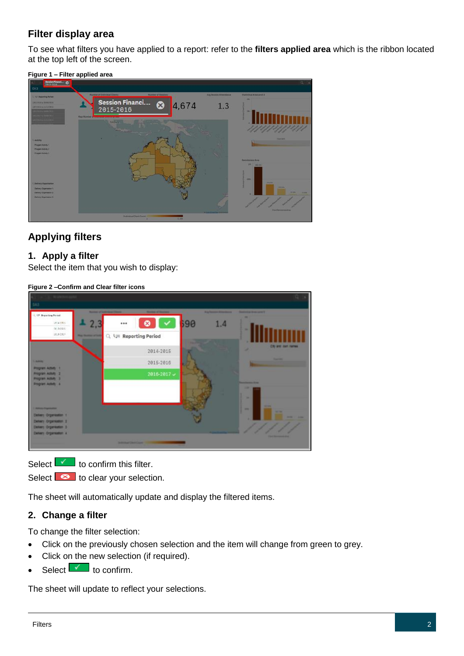## **Filter display area**

To see what filters you have applied to a report: refer to the **filters applied area** which is the ribbon located at the top left of the screen.

**Figure 1 – Filter applied area**



## **Applying filters**

## **1. Apply a filter**

Select the item that you wish to display:

**Figure 2 –Confirm and Clear filter icons**



Select  $\mathbf{I}$  to confirm this filter.

Select  $\bullet$  to clear your selection.

The sheet will automatically update and display the filtered items.

## **2. Change a filter**

To change the filter selection:

- Click on the previously chosen selection and the item will change from green to grey.
- Click on the new selection (if required).
- Select  $\mathbf{v}$  to confirm.

The sheet will update to reflect your selections.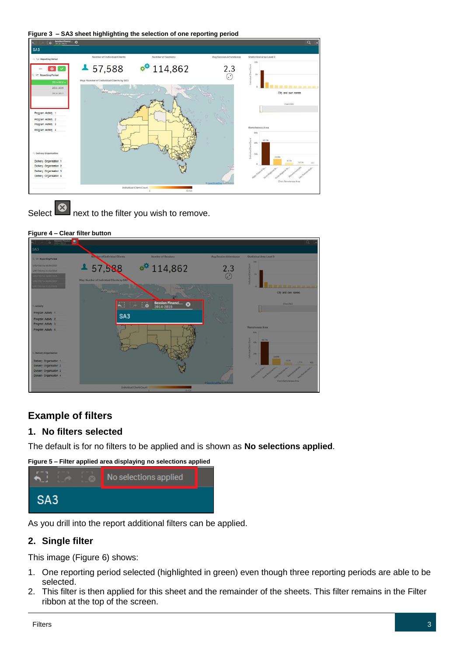**Figure 3 – SA3 sheet highlighting the selection of one reporting period**





#### **Figure 4 – Clear filter button**



## **Example of filters**

## **1. No filters selected**

The default is for no filters to be applied and is shown as **No selections applied**.

**Figure 5 – Filter applied area displaying no selections applied**



As you drill into the report additional filters can be applied.

## **2. Single filter**

This image (Figure 6) shows:

- 1. One reporting period selected (highlighted in green) even though three reporting periods are able to be selected.
- 2. This filter is then applied for this sheet and the remainder of the sheets. This filter remains in the Filter ribbon at the top of the screen.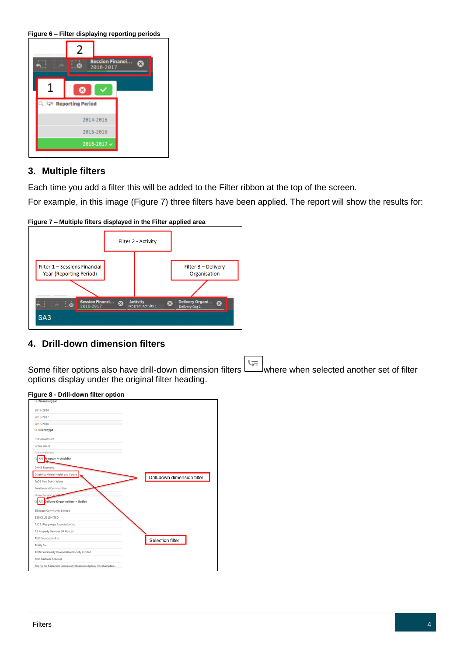**Figure 6 – Filter displaying reporting periods** 

| 2                    |                                     |  |
|----------------------|-------------------------------------|--|
| œ                    | <b>Session Financi</b><br>2016-2017 |  |
| ×                    |                                     |  |
| Q 누 Reporting Period |                                     |  |
|                      | 2014-2015                           |  |
|                      | 2015-2016                           |  |
|                      | 2016-2017 -                         |  |

## **3. Multiple filters**

Each time you add a filter this will be added to the Filter ribbon at the top of the screen.

For example, in this image (Figure 7) three filters have been applied. The report will show the results for:

**Figure 7 – Multiple filters displayed in the Filter applied area**



## **4. Drill-down dimension filters**

Some filter options also have drill-down dimension filters where when selected another set of filter options display under the original filter heading.

| $Q$ . Financial year                                        |                             |
|-------------------------------------------------------------|-----------------------------|
| 2017-2018                                                   |                             |
| 2016-2017                                                   |                             |
| 2815-2816                                                   |                             |
| $Q$ Client type                                             |                             |
| <b>Individual Client</b>                                    |                             |
| <b>Group Client</b>                                         |                             |
| Sunnort Derson                                              |                             |
| Program -> Activity<br>云                                    |                             |
| <b>DHHS Tasmania</b>                                        |                             |
| Disability Mental Health and Carers                         |                             |
| FaCS New South Wales                                        | Drill-down dimension filter |
| Families and Communities                                    |                             |
| Home Support and                                            |                             |
| Delivery Organisation -> Outlet                             |                             |
| 3 Bridges Community Limited                                 |                             |
| 139 CLUB LIMITED                                            |                             |
| A.C.T. Playgroups Association Inc.                          |                             |
| A1 Property Services SA Pty Ltd                             |                             |
| ABC Foundation Ltd.                                         | Selection filter            |
| Ability Inc                                                 |                             |
| ABIS Community Co-operative Society Limited                 |                             |
| Able Australia Services                                     |                             |
| Aboriginal & Islander Community Resource Agency Rockhampton |                             |